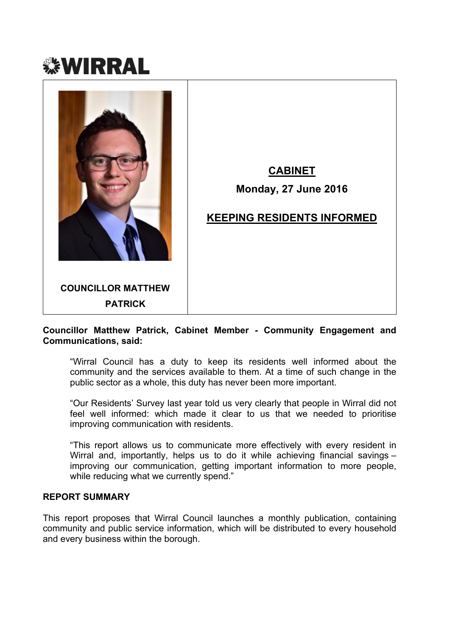



# **CABINET**

# **Monday, 27 June 2016**

# **KEEPING RESIDENTS INFORMED**

### **Councillor Matthew Patrick, Cabinet Member - Community Engagement and Communications, said:**

"Wirral Council has a duty to keep its residents well informed about the community and the services available to them. At a time of such change in the public sector as a whole, this duty has never been more important.

"Our Residents' Survey last year told us very clearly that people in Wirral did not feel well informed: which made it clear to us that we needed to prioritise improving communication with residents.

"This report allows us to communicate more effectively with every resident in Wirral and, importantly, helps us to do it while achieving financial savings – improving our communication, getting important information to more people, while reducing what we currently spend."

#### **REPORT SUMMARY**

This report proposes that Wirral Council launches a monthly publication, containing community and public service information, which will be distributed to every household and every business within the borough.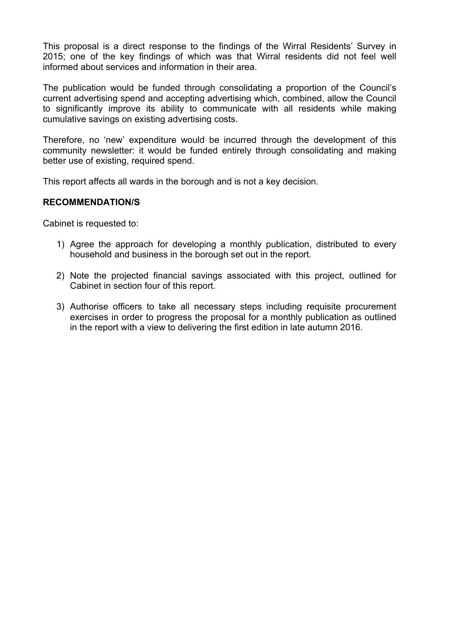This proposal is a direct response to the findings of the Wirral Residents' Survey in 2015; one of the key findings of which was that Wirral residents did not feel well informed about services and information in their area.

The publication would be funded through consolidating a proportion of the Council's current advertising spend and accepting advertising which, combined, allow the Council to significantly improve its ability to communicate with all residents while making cumulative savings on existing advertising costs.

Therefore, no 'new' expenditure would be incurred through the development of this community newsletter: it would be funded entirely through consolidating and making better use of existing, required spend.

This report affects all wards in the borough and is not a key decision.

#### **RECOMMENDATION/S**

Cabinet is requested to:

- 1) Agree the approach for developing a monthly publication, distributed to every household and business in the borough set out in the report.
- 2) Note the projected financial savings associated with this project, outlined for Cabinet in section four of this report.
- 3) Authorise officers to take all necessary steps including requisite procurement exercises in order to progress the proposal for a monthly publication as outlined in the report with a view to delivering the first edition in late autumn 2016.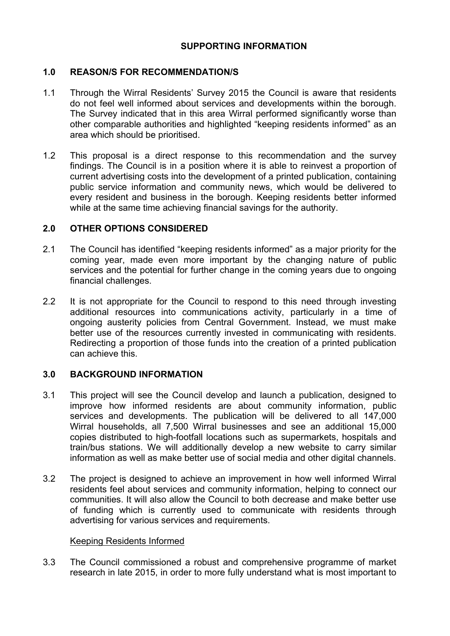## **SUPPORTING INFORMATION**

### **1.0 REASON/S FOR RECOMMENDATION/S**

- 1.1 Through the Wirral Residents' Survey 2015 the Council is aware that residents do not feel well informed about services and developments within the borough. The Survey indicated that in this area Wirral performed significantly worse than other comparable authorities and highlighted "keeping residents informed" as an area which should be prioritised.
- 1.2 This proposal is a direct response to this recommendation and the survey findings. The Council is in a position where it is able to reinvest a proportion of current advertising costs into the development of a printed publication, containing public service information and community news, which would be delivered to every resident and business in the borough. Keeping residents better informed while at the same time achieving financial savings for the authority.

### **2.0 OTHER OPTIONS CONSIDERED**

- 2.1 The Council has identified "keeping residents informed" as a major priority for the coming year, made even more important by the changing nature of public services and the potential for further change in the coming years due to ongoing financial challenges.
- 2.2 It is not appropriate for the Council to respond to this need through investing additional resources into communications activity, particularly in a time of ongoing austerity policies from Central Government. Instead, we must make better use of the resources currently invested in communicating with residents. Redirecting a proportion of those funds into the creation of a printed publication can achieve this.

### **3.0 BACKGROUND INFORMATION**

- 3.1 This project will see the Council develop and launch a publication, designed to improve how informed residents are about community information, public services and developments. The publication will be delivered to all 147,000 Wirral households, all 7,500 Wirral businesses and see an additional 15,000 copies distributed to high-footfall locations such as supermarkets, hospitals and train/bus stations. We will additionally develop a new website to carry similar information as well as make better use of social media and other digital channels.
- 3.2 The project is designed to achieve an improvement in how well informed Wirral residents feel about services and community information, helping to connect our communities. It will also allow the Council to both decrease and make better use of funding which is currently used to communicate with residents through advertising for various services and requirements.

### Keeping Residents Informed

3.3 The Council commissioned a robust and comprehensive programme of market research in late 2015, in order to more fully understand what is most important to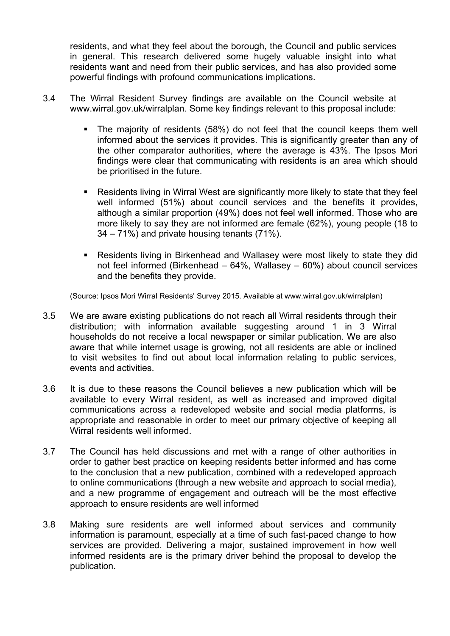residents, and what they feel about the borough, the Council and public services in general. This research delivered some hugely valuable insight into what residents want and need from their public services, and has also provided some powerful findings with profound communications implications.

- 3.4 The Wirral Resident Survey findings are available on the Council website at [www.wirral.gov.uk/wirralplan.](http://www.wirral.gov.uk/wirralplan) Some key findings relevant to this proposal include:
	- The majority of residents (58%) do not feel that the council keeps them well informed about the services it provides. This is significantly greater than any of the other comparator authorities, where the average is 43%. The Ipsos Mori findings were clear that communicating with residents is an area which should be prioritised in the future.
	- Residents living in Wirral West are significantly more likely to state that they feel well informed (51%) about council services and the benefits it provides, although a similar proportion (49%) does not feel well informed. Those who are more likely to say they are not informed are female (62%), young people (18 to 34 – 71%) and private housing tenants (71%).
	- Residents living in Birkenhead and Wallasey were most likely to state they did not feel informed (Birkenhead – 64%, Wallasey – 60%) about council services and the benefits they provide.

(Source: Ipsos Mori Wirral Residents' Survey 2015. Available at www.wirral.gov.uk/wirralplan)

- 3.5 We are aware existing publications do not reach all Wirral residents through their distribution; with information available suggesting around 1 in 3 Wirral households do not receive a local newspaper or similar publication. We are also aware that while internet usage is growing, not all residents are able or inclined to visit websites to find out about local information relating to public services, events and activities.
- 3.6 It is due to these reasons the Council believes a new publication which will be available to every Wirral resident, as well as increased and improved digital communications across a redeveloped website and social media platforms, is appropriate and reasonable in order to meet our primary objective of keeping all Wirral residents well informed.
- 3.7 The Council has held discussions and met with a range of other authorities in order to gather best practice on keeping residents better informed and has come to the conclusion that a new publication, combined with a redeveloped approach to online communications (through a new website and approach to social media), and a new programme of engagement and outreach will be the most effective approach to ensure residents are well informed
- 3.8 Making sure residents are well informed about services and community information is paramount, especially at a time of such fast-paced change to how services are provided. Delivering a major, sustained improvement in how well informed residents are is the primary driver behind the proposal to develop the publication.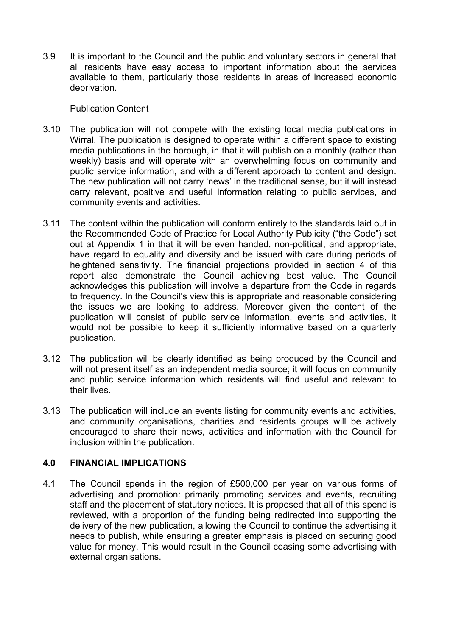3.9 It is important to the Council and the public and voluntary sectors in general that all residents have easy access to important information about the services available to them, particularly those residents in areas of increased economic deprivation.

### Publication Content

- 3.10 The publication will not compete with the existing local media publications in Wirral. The publication is designed to operate within a different space to existing media publications in the borough, in that it will publish on a monthly (rather than weekly) basis and will operate with an overwhelming focus on community and public service information, and with a different approach to content and design. The new publication will not carry 'news' in the traditional sense, but it will instead carry relevant, positive and useful information relating to public services, and community events and activities.
- 3.11 The content within the publication will conform entirely to the standards laid out in the Recommended Code of Practice for Local Authority Publicity ("the Code") set out at Appendix 1 in that it will be even handed, non-political, and appropriate, have regard to equality and diversity and be issued with care during periods of heightened sensitivity. The financial projections provided in section 4 of this report also demonstrate the Council achieving best value. The Council acknowledges this publication will involve a departure from the Code in regards to frequency. In the Council's view this is appropriate and reasonable considering the issues we are looking to address. Moreover given the content of the publication will consist of public service information, events and activities, it would not be possible to keep it sufficiently informative based on a quarterly publication.
- 3.12 The publication will be clearly identified as being produced by the Council and will not present itself as an independent media source; it will focus on community and public service information which residents will find useful and relevant to their lives.
- 3.13 The publication will include an events listing for community events and activities, and community organisations, charities and residents groups will be actively encouraged to share their news, activities and information with the Council for inclusion within the publication.

## **4.0 FINANCIAL IMPLICATIONS**

4.1 The Council spends in the region of £500,000 per year on various forms of advertising and promotion: primarily promoting services and events, recruiting staff and the placement of statutory notices. It is proposed that all of this spend is reviewed, with a proportion of the funding being redirected into supporting the delivery of the new publication, allowing the Council to continue the advertising it needs to publish, while ensuring a greater emphasis is placed on securing good value for money. This would result in the Council ceasing some advertising with external organisations.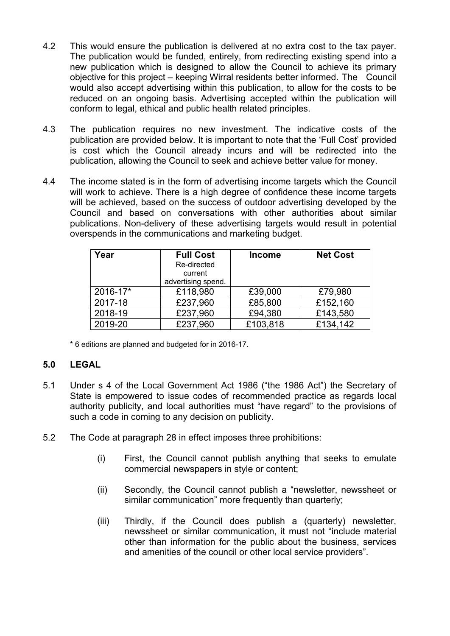- 4.2 This would ensure the publication is delivered at no extra cost to the tax payer. The publication would be funded, entirely, from redirecting existing spend into a new publication which is designed to allow the Council to achieve its primary objective for this project – keeping Wirral residents better informed. The Council would also accept advertising within this publication, to allow for the costs to be reduced on an ongoing basis. Advertising accepted within the publication will conform to legal, ethical and public health related principles.
- 4.3 The publication requires no new investment. The indicative costs of the publication are provided below. It is important to note that the 'Full Cost' provided is cost which the Council already incurs and will be redirected into the publication, allowing the Council to seek and achieve better value for money.
- 4.4 The income stated is in the form of advertising income targets which the Council will work to achieve. There is a high degree of confidence these income targets will be achieved, based on the success of outdoor advertising developed by the Council and based on conversations with other authorities about similar publications. Non-delivery of these advertising targets would result in potential overspends in the communications and marketing budget.

| Year     | <b>Full Cost</b><br>Re-directed<br>current<br>advertising spend. | <b>Income</b> | <b>Net Cost</b> |
|----------|------------------------------------------------------------------|---------------|-----------------|
| 2016-17* | £118,980                                                         | £39,000       | £79,980         |
| 2017-18  | £237,960                                                         | £85,800       | £152,160        |
| 2018-19  | £237,960                                                         | £94,380       | £143,580        |
| 2019-20  | £237,960                                                         | £103,818      | £134,142        |

\* 6 editions are planned and budgeted for in 2016-17.

### **5.0 LEGAL**

- 5.1 Under s 4 of the Local Government Act 1986 ("the 1986 Act") the Secretary of State is empowered to issue codes of recommended practice as regards local authority publicity, and local authorities must "have regard" to the provisions of such a code in coming to any decision on publicity.
- 5.2 The Code at paragraph 28 in effect imposes three prohibitions:
	- (i) First, the Council cannot publish anything that seeks to emulate commercial newspapers in style or content;
	- (ii) Secondly, the Council cannot publish a "newsletter, newssheet or similar communication" more frequently than quarterly;
	- (iii) Thirdly, if the Council does publish a (quarterly) newsletter, newssheet or similar communication, it must not "include material other than information for the public about the business, services and amenities of the council or other local service providers".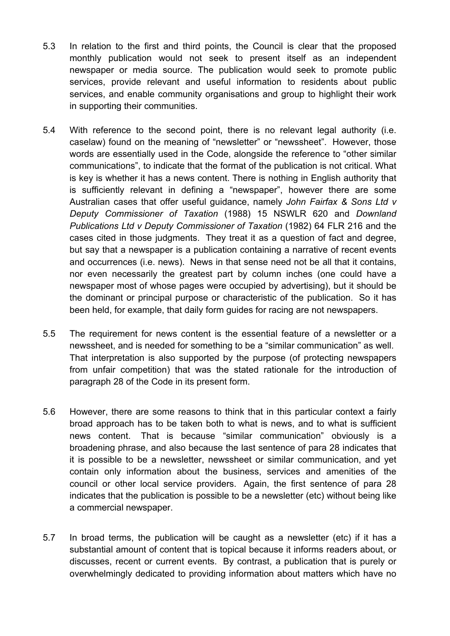- 5.3 In relation to the first and third points, the Council is clear that the proposed monthly publication would not seek to present itself as an independent newspaper or media source. The publication would seek to promote public services, provide relevant and useful information to residents about public services, and enable community organisations and group to highlight their work in supporting their communities.
- 5.4 With reference to the second point, there is no relevant legal authority (i.e. caselaw) found on the meaning of "newsletter" or "newssheet". However, those words are essentially used in the Code, alongside the reference to "other similar communications", to indicate that the format of the publication is not critical. What is key is whether it has a news content. There is nothing in English authority that is sufficiently relevant in defining a "newspaper", however there are some Australian cases that offer useful guidance, namely *John Fairfax & Sons Ltd v Deputy Commissioner of Taxation* (1988) 15 NSWLR 620 and *Downland Publications Ltd v Deputy Commissioner of Taxation* (1982) 64 FLR 216 and the cases cited in those judgments. They treat it as a question of fact and degree, but say that a newspaper is a publication containing a narrative of recent events and occurrences (i.e. news). News in that sense need not be all that it contains, nor even necessarily the greatest part by column inches (one could have a newspaper most of whose pages were occupied by advertising), but it should be the dominant or principal purpose or characteristic of the publication. So it has been held, for example, that daily form guides for racing are not newspapers.
- 5.5 The requirement for news content is the essential feature of a newsletter or a newssheet, and is needed for something to be a "similar communication" as well. That interpretation is also supported by the purpose (of protecting newspapers from unfair competition) that was the stated rationale for the introduction of paragraph 28 of the Code in its present form.
- 5.6 However, there are some reasons to think that in this particular context a fairly broad approach has to be taken both to what is news, and to what is sufficient news content. That is because "similar communication" obviously is a broadening phrase, and also because the last sentence of para 28 indicates that it is possible to be a newsletter, newssheet or similar communication, and yet contain only information about the business, services and amenities of the council or other local service providers. Again, the first sentence of para 28 indicates that the publication is possible to be a newsletter (etc) without being like a commercial newspaper.
- 5.7 In broad terms, the publication will be caught as a newsletter (etc) if it has a substantial amount of content that is topical because it informs readers about, or discusses, recent or current events. By contrast, a publication that is purely or overwhelmingly dedicated to providing information about matters which have no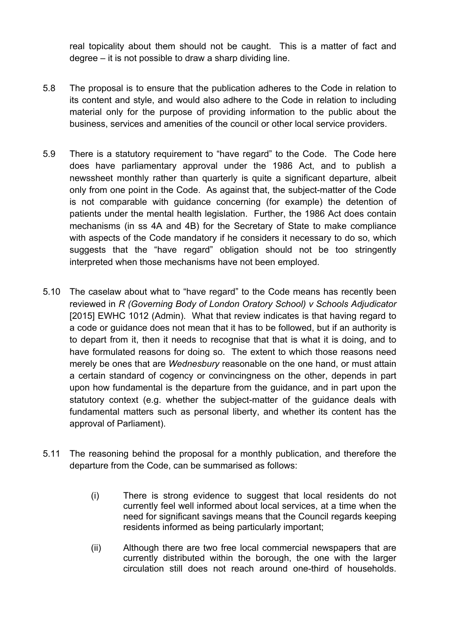real topicality about them should not be caught. This is a matter of fact and degree – it is not possible to draw a sharp dividing line.

- 5.8 The proposal is to ensure that the publication adheres to the Code in relation to its content and style, and would also adhere to the Code in relation to including material only for the purpose of providing information to the public about the business, services and amenities of the council or other local service providers.
- 5.9 There is a statutory requirement to "have regard" to the Code. The Code here does have parliamentary approval under the 1986 Act, and to publish a newssheet monthly rather than quarterly is quite a significant departure, albeit only from one point in the Code. As against that, the subject-matter of the Code is not comparable with guidance concerning (for example) the detention of patients under the mental health legislation. Further, the 1986 Act does contain mechanisms (in ss 4A and 4B) for the Secretary of State to make compliance with aspects of the Code mandatory if he considers it necessary to do so, which suggests that the "have regard" obligation should not be too stringently interpreted when those mechanisms have not been employed.
- 5.10 The caselaw about what to "have regard" to the Code means has recently been reviewed in *R (Governing Body of London Oratory School) v Schools Adjudicator* [2015] EWHC 1012 (Admin). What that review indicates is that having regard to a code or guidance does not mean that it has to be followed, but if an authority is to depart from it, then it needs to recognise that that is what it is doing, and to have formulated reasons for doing so. The extent to which those reasons need merely be ones that are *Wednesbury* reasonable on the one hand, or must attain a certain standard of cogency or convincingness on the other, depends in part upon how fundamental is the departure from the guidance, and in part upon the statutory context (e.g. whether the subject-matter of the guidance deals with fundamental matters such as personal liberty, and whether its content has the approval of Parliament).
- 5.11 The reasoning behind the proposal for a monthly publication, and therefore the departure from the Code, can be summarised as follows:
	- (i) There is strong evidence to suggest that local residents do not currently feel well informed about local services, at a time when the need for significant savings means that the Council regards keeping residents informed as being particularly important;
	- (ii) Although there are two free local commercial newspapers that are currently distributed within the borough, the one with the larger circulation still does not reach around one-third of households.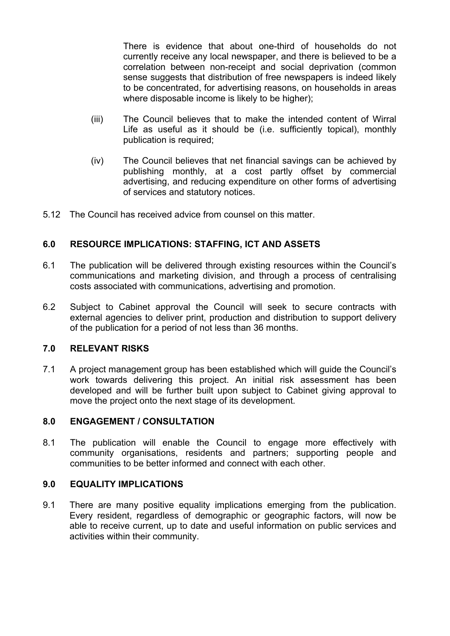There is evidence that about one-third of households do not currently receive any local newspaper, and there is believed to be a correlation between non-receipt and social deprivation (common sense suggests that distribution of free newspapers is indeed likely to be concentrated, for advertising reasons, on households in areas where disposable income is likely to be higher);

- (iii) The Council believes that to make the intended content of Wirral Life as useful as it should be (i.e. sufficiently topical), monthly publication is required;
- (iv) The Council believes that net financial savings can be achieved by publishing monthly, at a cost partly offset by commercial advertising, and reducing expenditure on other forms of advertising of services and statutory notices.
- 5.12 The Council has received advice from counsel on this matter.

## **6.0 RESOURCE IMPLICATIONS: STAFFING, ICT AND ASSETS**

- 6.1 The publication will be delivered through existing resources within the Council's communications and marketing division, and through a process of centralising costs associated with communications, advertising and promotion.
- 6.2 Subject to Cabinet approval the Council will seek to secure contracts with external agencies to deliver print, production and distribution to support delivery of the publication for a period of not less than 36 months.

### **7.0 RELEVANT RISKS**

7.1 A project management group has been established which will guide the Council's work towards delivering this project. An initial risk assessment has been developed and will be further built upon subject to Cabinet giving approval to move the project onto the next stage of its development.

### **8.0 ENGAGEMENT / CONSULTATION**

8.1 The publication will enable the Council to engage more effectively with community organisations, residents and partners; supporting people and communities to be better informed and connect with each other.

#### **9.0 EQUALITY IMPLICATIONS**

9.1 There are many positive equality implications emerging from the publication. Every resident, regardless of demographic or geographic factors, will now be able to receive current, up to date and useful information on public services and activities within their community.